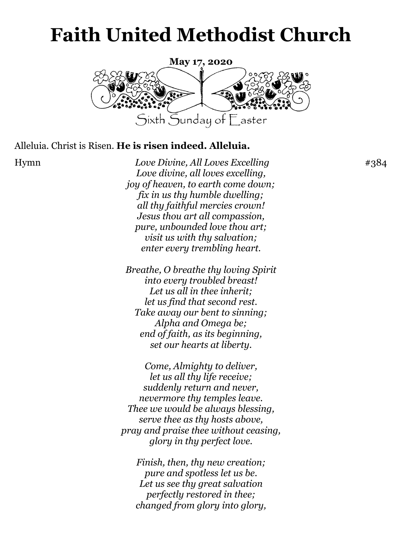# **Faith United Methodist Church**



#### Alleluia. Christ is Risen. **He is risen indeed. Alleluia.**

Hymn *Love Divine, All Loves Excelling* #384 *Love divine, all loves excelling, joy of heaven, to earth come down; fix in us thy humble dwelling; all thy faithful mercies crown! Jesus thou art all compassion, pure, unbounded love thou art; visit us with thy salvation; enter every trembling heart.*

> *Breathe, O breathe thy loving Spirit into every troubled breast! Let us all in thee inherit; let us find that second rest. Take away our bent to sinning; Alpha and Omega be; end of faith, as its beginning, set our hearts at liberty.*

*Come, Almighty to deliver, let us all thy life receive; suddenly return and never, nevermore thy temples leave. Thee we would be always blessing, serve thee as thy hosts above, pray and praise thee without ceasing, glory in thy perfect love.*

*Finish, then, thy new creation; pure and spotless let us be. Let us see thy great salvation perfectly restored in thee; changed from glory into glory,*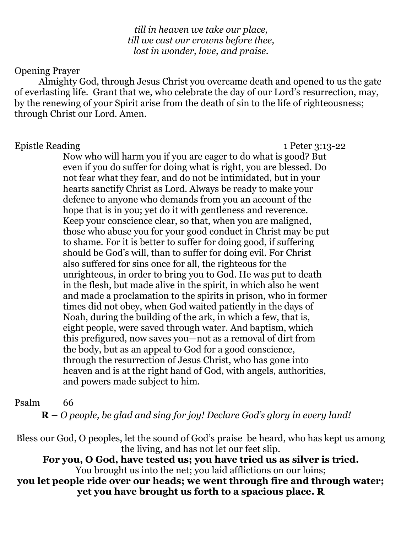*till in heaven we take our place, till we cast our crowns before thee, lost in wonder, love, and praise.*

#### Opening Prayer

Almighty God, through Jesus Christ you overcame death and opened to us the gate of everlasting life. Grant that we, who celebrate the day of our Lord's resurrection, may, by the renewing of your Spirit arise from the death of sin to the life of righteousness; through Christ our Lord. Amen.

#### Epistle Reading 1 Peter 3:13-22

Now who will harm you if you are eager to do what is good? But even if you do suffer for doing what is right, you are blessed. Do not fear what they fear, and do not be intimidated, but in your hearts sanctify Christ as Lord. Always be ready to make your defence to anyone who demands from you an account of the hope that is in you; yet do it with gentleness and reverence. Keep your conscience clear, so that, when you are maligned, those who abuse you for your good conduct in Christ may be put to shame. For it is better to suffer for doing good, if suffering should be God's will, than to suffer for doing evil. For Christ also suffered for sins once for all, the righteous for the unrighteous, in order to bring you to God. He was put to death in the flesh, but made alive in the spirit, in which also he went and made a proclamation to the spirits in prison, who in former times did not obey, when God waited patiently in the days of Noah, during the building of the ark, in which a few, that is, eight people, were saved through water. And baptism, which this prefigured, now saves you—not as a removal of dirt from the body, but as an appeal to God for a good conscience, through the resurrection of Jesus Christ, who has gone into heaven and is at the right hand of God, with angels, authorities, and powers made subject to him.

#### Psalm 66

**R –** *O people, be glad and sing for joy! Declare God's glory in every land!*

Bless our God, O peoples, let the sound of God's praise be heard, who has kept us among the living, and has not let our feet slip.

**For you, O God, have tested us; you have tried us as silver is tried.** You brought us into the net; you laid afflictions on our loins;

**you let people ride over our heads; we went through fire and through water; yet you have brought us forth to a spacious place. R**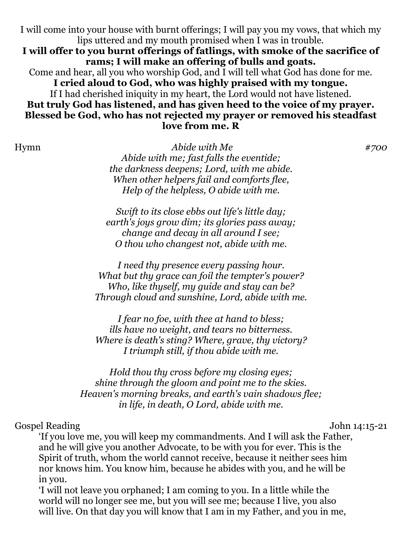I will come into your house with burnt offerings; I will pay you my vows, that which my lips uttered and my mouth promised when I was in trouble.

**I will offer to you burnt offerings of fatlings, with smoke of the sacrifice of rams; I will make an offering of bulls and goats.**

Come and hear, all you who worship God, and I will tell what God has done for me. **I cried aloud to God, who was highly praised with my tongue.**

If I had cherished iniquity in my heart, the Lord would not have listened.

### **But truly God has listened, and has given heed to the voice of my prayer. Blessed be God, who has not rejected my prayer or removed his steadfast love from me. R**

Hymn *Abide with Me #700 Abide with me; fast falls the eventide; the darkness deepens; Lord, with me abide. When other helpers fail and comforts flee, Help of the helpless, O abide with me.*

> *Swift to its close ebbs out life's little day; earth's joys grow dim; its glories pass away; change and decay in all around I see; O thou who changest not, abide with me.*

*I need thy presence every passing hour. What but thy grace can foil the tempter's power? Who, like thyself, my guide and stay can be? Through cloud and sunshine, Lord, abide with me.*

*I fear no foe, with thee at hand to bless; ills have no weight, and tears no bitterness. Where is death's sting? Where, grave, thy victory? I triumph still, if thou abide with me.*

*Hold thou thy cross before my closing eyes; shine through the gloom and point me to the skies. Heaven's morning breaks, and earth's vain shadows flee; in life, in death, O Lord, abide with me.*

## Gospel Reading John 14:15-21

'If you love me, you will keep my commandments. And I will ask the Father, and he will give you another Advocate, to be with you for ever. This is the Spirit of truth, whom the world cannot receive, because it neither sees him nor knows him. You know him, because he abides with you, and he will be in you.

'I will not leave you orphaned; I am coming to you. In a little while the world will no longer see me, but you will see me; because I live, you also will live. On that day you will know that I am in my Father, and you in me,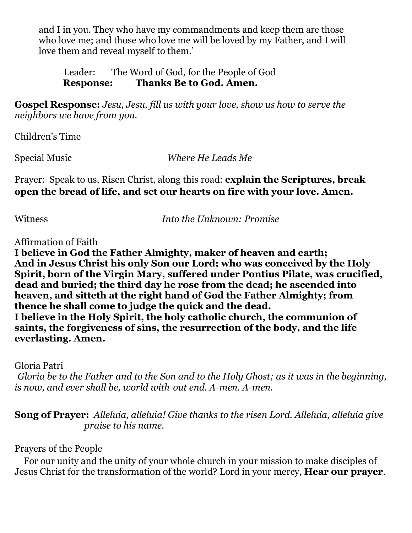and I in you. They who have my commandments and keep them are those who love me; and those who love me will be loved by my Father, and I will love them and reveal myself to them.'

 Leader: The Word of God, for the People of God **Response: Thanks Be to God. Amen.**

**Gospel Response:** *Jesu, Jesu, fill us with your love, show us how to serve the neighbors we have from you.*

Children's Time

Special Music *Where He Leads Me*

Prayer: Speak to us, Risen Christ, along this road: **explain the Scriptures, break open the bread of life, and set our hearts on fire with your love. Amen.**

Witness *Into the Unknown: Promise*

Affirmation of Faith

**I believe in God the Father Almighty, maker of heaven and earth; And in Jesus Christ his only Son our Lord; who was conceived by the Holy Spirit, born of the Virgin Mary, suffered under Pontius Pilate, was crucified, dead and buried; the third day he rose from the dead; he ascended into heaven, and sitteth at the right hand of God the Father Almighty; from thence he shall come to judge the quick and the dead. I believe in the Holy Spirit, the holy catholic church, the communion of saints, the forgiveness of sins, the resurrection of the body, and the life everlasting. Amen.** Ĭ

Gloria Patri

*Gloria be to the Father and to the Son and to the Holy Ghost; as it was in the beginning, is now, and ever shall be, world with-out end. A-men. A-men.*

**Song of Prayer:** *Alleluia, alleluia! Give thanks to the risen Lord. Alleluia, alleluia give praise to his name.*

Prayers of the People

 For our unity and the unity of your whole church in your mission to make disciples of Jesus Christ for the transformation of the world? Lord in your mercy, **Hear our prayer**.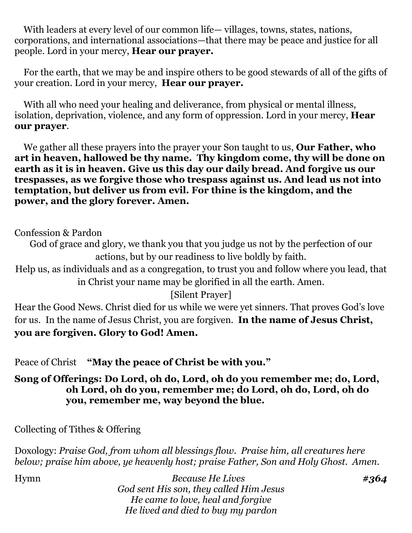With leaders at every level of our common life— villages, towns, states, nations, corporations, and international associations—that there may be peace and justice for all people. Lord in your mercy, **Hear our prayer.**

 For the earth, that we may be and inspire others to be good stewards of all of the gifts of your creation. Lord in your mercy, **Hear our prayer.**

With all who need your healing and deliverance, from physical or mental illness, isolation, deprivation, violence, and any form of oppression. Lord in your mercy, **Hear our prayer**.

 We gather all these prayers into the prayer your Son taught to us, **Our Father, who art in heaven, hallowed be thy name. Thy kingdom come, thy will be done on earth as it is in heaven. Give us this day our daily bread. And forgive us our trespasses, as we forgive those who trespass against us. And lead us not into temptation, but deliver us from evil. For thine is the kingdom, and the power, and the glory forever. Amen.**

#### Confession & Pardon

God of grace and glory, we thank you that you judge us not by the perfection of our actions, but by our readiness to live boldly by faith.

Help us, as individuals and as a congregation, to trust you and follow where you lead, that in Christ your name may be glorified in all the earth. Amen.

[Silent Prayer]

Hear the Good News. Christ died for us while we were yet sinners. That proves God's love for us. In the name of Jesus Christ, you are forgiven. **In the name of Jesus Christ, you are forgiven. Glory to God! Amen.**

Peace of Christ **"May the peace of Christ be with you."**

**Song of Offerings: Do Lord, oh do, Lord, oh do you remember me; do, Lord, oh Lord, oh do you, remember me; do Lord, oh do, Lord, oh do you, remember me, way beyond the blue.** 

Collecting of Tithes & Offering

Doxology: *Praise God, from whom all blessings flow. Praise him, all creatures here below; praise him above, ye heavenly host; praise Father, Son and Holy Ghost. Amen.*

Hymn *Because He Lives #364 God sent His son, they called Him Jesus He came to love, heal and forgive He lived and died to buy my pardon*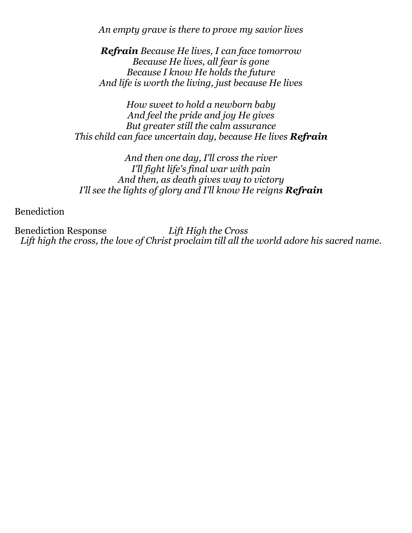*An empty grave is there to prove my savior lives*

*Refrain Because He lives, I can face tomorrow Because He lives, all fear is gone Because I know He holds the future And life is worth the living, just because He lives*

*How sweet to hold a newborn baby And feel the pride and joy He gives But greater still the calm assurance This child can face uncertain day, because He lives Refrain*

*And then one day, I'll cross the river I'll fight life's final war with pain And then, as death gives way to victory I'll see the lights of glory and I'll know He reigns Refrain*

Benediction

Benediction Response *Lift High the Cross Lift high the cross, the love of Christ proclaim till all the world adore his sacred name.*